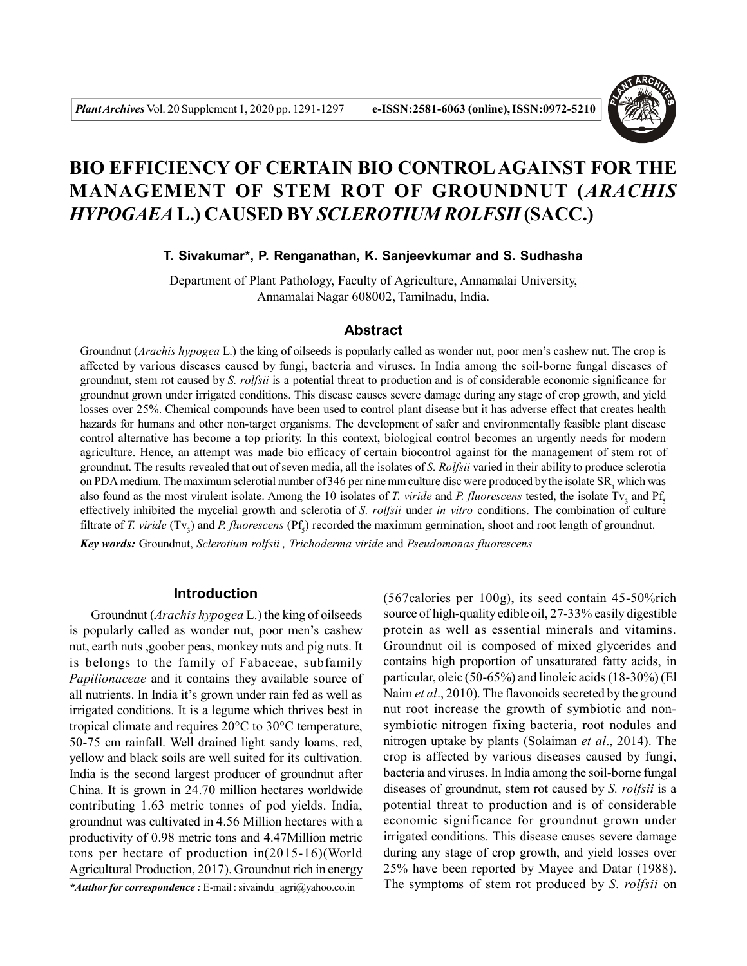

# **BIO EFFICIENCY OF CERTAIN BIO CONTROLAGAINST FOR THE MANAGEMENT OF STEM ROT OF GROUNDNUT (***ARACHIS HYPOGAEA* **L.) CAUSED BY** *SCLEROTIUM ROLFSII* **(SACC.)**

### **T. Sivakumar\*, P. Renganathan, K. Sanjeevkumar and S. Sudhasha**

Department of Plant Pathology, Faculty of Agriculture, Annamalai University, Annamalai Nagar 608002, Tamilnadu, India.

### **Abstract**

Groundnut (*Arachis hypogea* L.) the king of oilseeds is popularly called as wonder nut, poor men's cashew nut. The crop is affected by various diseases caused by fungi, bacteria and viruses. In India among the soil-borne fungal diseases of groundnut, stem rot caused by *S. rolfsii* is a potential threat to production and is of considerable economic significance for groundnut grown under irrigated conditions. This disease causes severe damage during any stage of crop growth, and yield losses over 25%. Chemical compounds have been used to control plant disease but it has adverse effect that creates health hazards for humans and other non-target organisms. The development of safer and environmentally feasible plant disease control alternative has become a top priority. In this context, biological control becomes an urgently needs for modern agriculture. Hence, an attempt was made bio efficacy of certain biocontrol against for the management of stem rot of groundnut. The results revealed that out of seven media, all the isolates of *S. Rolfsii* varied in their ability to produce sclerotia on PDA medium. The maximum sclerotial number of 346 per nine mm culture disc were produced by the isolate  $SR_1$  which was also found as the most virulent isolate. Among the 10 isolates of *T. viride* and *P. fluorescens* tested, the isolate Tv<sub>3</sub> and Pf<sub>5</sub> effectively inhibited the mycelial growth and sclerotia of *S. rolfsii* under *in vitro* conditions. The combination of culture filtrate of *T. viride* (Tv<sub>3</sub>) and *P. fluorescens* (Pf<sub>5</sub>) recorded the maximum germination, shoot and root length of groundnut.

*Key words:* Groundnut, *Sclerotium rolfsii , Trichoderma viride* and *Pseudomonas fluorescens*

#### **Introduction**

Groundnut (*Arachis hypogea* L.) the king of oilseeds is popularly called as wonder nut, poor men's cashew nut, earth nuts ,goober peas, monkey nuts and pig nuts. It is belongs to the family of Fabaceae, subfamily *Papilionaceae* and it contains they available source of all nutrients. In India it's grown under rain fed as well as irrigated conditions. It is a legume which thrives best in tropical climate and requires 20°C to 30°C temperature, 50-75 cm rainfall. Well drained light sandy loams, red, yellow and black soils are well suited for its cultivation. India is the second largest producer of groundnut after China. It is grown in 24.70 million hectares worldwide contributing 1.63 metric tonnes of pod yields. India, groundnut was cultivated in 4.56 Million hectares with a productivity of 0.98 metric tons and 4.47Million metric tons per hectare of production in(2015-16)(World Agricultural Production, 2017). Groundnut rich in energy

*\*Author for correspondence :* E-mail : sivaindu\_agri@yahoo.co.in

(567calories per 100g), its seed contain 45-50%rich source of high-quality edible oil, 27-33% easily digestible protein as well as essential minerals and vitamins. Groundnut oil is composed of mixed glycerides and contains high proportion of unsaturated fatty acids, in particular, oleic (50-65%) and linoleic acids (18-30%) (El Naim *et al*., 2010). The flavonoids secreted by the ground nut root increase the growth of symbiotic and nonsymbiotic nitrogen fixing bacteria, root nodules and nitrogen uptake by plants (Solaiman *et al*., 2014). The crop is affected by various diseases caused by fungi, bacteria and viruses. In India among the soil-borne fungal diseases of groundnut, stem rot caused by *S. rolfsii* is a potential threat to production and is of considerable economic significance for groundnut grown under irrigated conditions. This disease causes severe damage during any stage of crop growth, and yield losses over 25% have been reported by Mayee and Datar (1988). The symptoms of stem rot produced by *S. rolfsii* on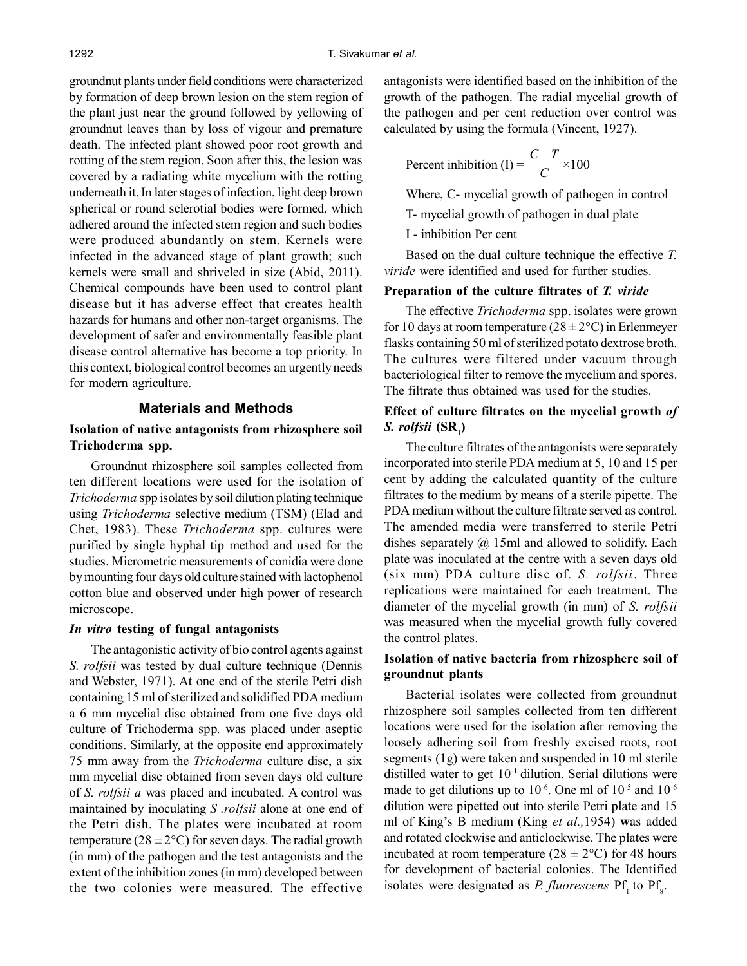groundnut plants under field conditions were characterized by formation of deep brown lesion on the stem region of the plant just near the ground followed by yellowing of groundnut leaves than by loss of vigour and premature death. The infected plant showed poor root growth and rotting of the stem region. Soon after this, the lesion was covered by a radiating white mycelium with the rotting underneath it. In later stages of infection, light deep brown spherical or round sclerotial bodies were formed, which adhered around the infected stem region and such bodies were produced abundantly on stem. Kernels were infected in the advanced stage of plant growth; such kernels were small and shriveled in size (Abid, 2011). Chemical compounds have been used to control plant disease but it has adverse effect that creates health hazards for humans and other non-target organisms. The development of safer and environmentally feasible plant disease control alternative has become a top priority. In this context, biological control becomes an urgently needs for modern agriculture.

#### **Materials and Methods**

### **Isolation of native antagonists from rhizosphere soil Trichoderma spp.**

Groundnut rhizosphere soil samples collected from ten different locations were used for the isolation of *Trichoderma* spp isolates by soil dilution plating technique using *Trichoderma* selective medium (TSM) (Elad and Chet, 1983). These *Trichoderma* spp. cultures were purified by single hyphal tip method and used for the studies. Micrometric measurements of conidia were done by mounting four days old culture stained with lactophenol cotton blue and observed under high power of research microscope.

#### *In vitro* **testing of fungal antagonists**

The antagonistic activity of bio control agents against *S. rolfsii* was tested by dual culture technique (Dennis and Webster, 1971). At one end of the sterile Petri dish containing 15 ml of sterilized and solidified PDA medium a 6 mm mycelial disc obtained from one five days old culture of Trichoderma spp*.* was placed under aseptic conditions. Similarly, at the opposite end approximately 75 mm away from the *Trichoderma* culture disc, a six mm mycelial disc obtained from seven days old culture of *S. rolfsii a* was placed and incubated. A control was maintained by inoculating *S .rolfsii* alone at one end of the Petri dish. The plates were incubated at room temperature ( $28 \pm 2$ °C) for seven days. The radial growth (in mm) of the pathogen and the test antagonists and the extent of the inhibition zones (in mm) developed between the two colonies were measured. The effective

antagonists were identified based on the inhibition of the growth of the pathogen. The radial mycelial growth of the pathogen and per cent reduction over control was calculated by using the formula (Vincent, 1927).

Percent inhibition (I) = 
$$
\frac{C}{C} \times 100
$$

Where, C- mycelial growth of pathogen in control

T- mycelial growth of pathogen in dual plate

I - inhibition Per cent

Based on the dual culture technique the effective *T. viride* were identified and used for further studies.

#### **Preparation of the culture filtrates of** *T. viride*

The effective *Trichoderma* spp. isolates were grown for 10 days at room temperature  $(28 \pm 2^{\circ}C)$  in Erlenmeyer flasks containing 50 ml of sterilized potato dextrose broth. The cultures were filtered under vacuum through bacteriological filter to remove the mycelium and spores. The filtrate thus obtained was used for the studies.

### **Effect of culture filtrates on the mycelial growth** *of S. rolfsii* **(SR<sup>1</sup> )**

The culture filtrates of the antagonists were separately incorporated into sterile PDA medium at 5, 10 and 15 per cent by adding the calculated quantity of the culture filtrates to the medium by means of a sterile pipette. The PDA medium without the culture filtrate served as control. The amended media were transferred to sterile Petri dishes separately  $\omega$  15ml and allowed to solidify. Each plate was inoculated at the centre with a seven days old (six mm) PDA culture disc of*. S. rolfsii*. Three replications were maintained for each treatment. The diameter of the mycelial growth (in mm) of *S. rolfsii* was measured when the mycelial growth fully covered the control plates.

### **Isolation of native bacteria from rhizosphere soil of groundnut plants**

Bacterial isolates were collected from groundnut rhizosphere soil samples collected from ten different locations were used for the isolation after removing the loosely adhering soil from freshly excised roots, root segments (1g) were taken and suspended in 10 ml sterile distilled water to get  $10<sup>-1</sup>$  dilution. Serial dilutions were made to get dilutions up to  $10^{-6}$ . One ml of  $10^{-5}$  and  $10^{-6}$ dilution were pipetted out into sterile Petri plate and 15 ml of King's B medium (King *et al.,*1954) **w**as added and rotated clockwise and anticlockwise. The plates were incubated at room temperature ( $28 \pm 2$ °C) for 48 hours for development of bacterial colonies. The Identified isolates were designated as *P. fluorescens*  $Pf_1$  to  $Pf_8$ .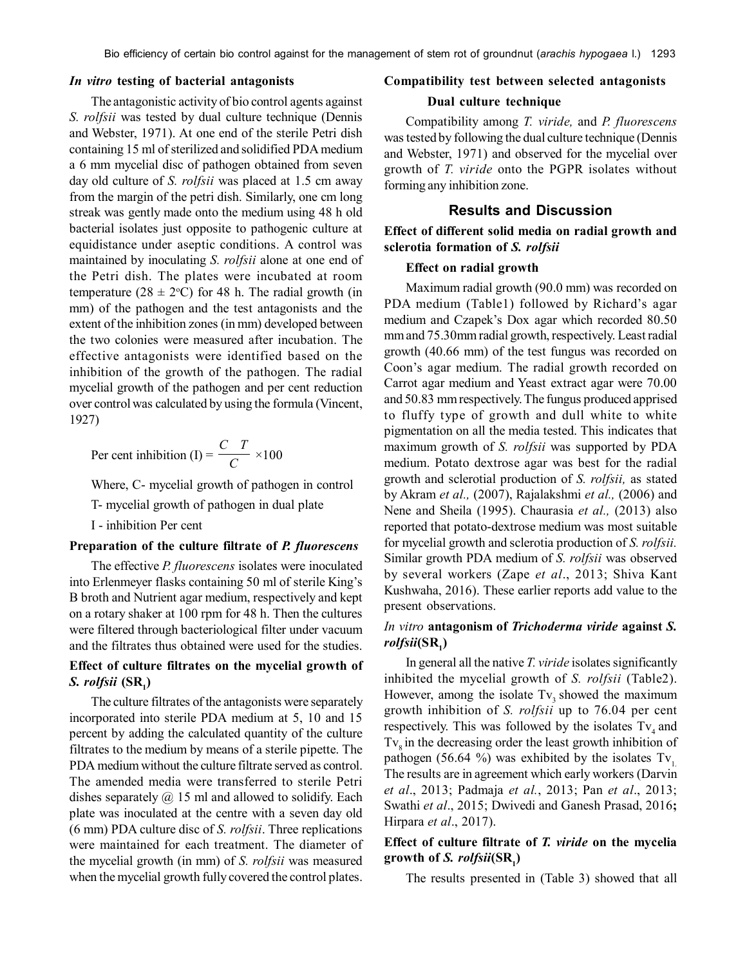#### *In vitro* **testing of bacterial antagonists**

The antagonistic activity of bio control agents against *S. rolfsii* was tested by dual culture technique (Dennis and Webster, 1971). At one end of the sterile Petri dish containing 15 ml of sterilized and solidified PDA medium a 6 mm mycelial disc of pathogen obtained from seven day old culture of *S. rolfsii* was placed at 1.5 cm away from the margin of the petri dish. Similarly, one cm long streak was gently made onto the medium using 48 h old bacterial isolates just opposite to pathogenic culture at equidistance under aseptic conditions. A control was maintained by inoculating *S. rolfsii* alone at one end of the Petri dish. The plates were incubated at room temperature (28  $\pm$  2°C) for 48 h. The radial growth (in mm) of the pathogen and the test antagonists and the extent of the inhibition zones (in mm) developed between the two colonies were measured after incubation. The effective antagonists were identified based on the inhibition of the growth of the pathogen. The radial mycelial growth of the pathogen and per cent reduction over control was calculated by using the formula (Vincent, 1927)

$$
Per cent inhibition (I) = \frac{C T}{C} \times 100
$$

Where, C- mycelial growth of pathogen in control

T- mycelial growth of pathogen in dual plate

I - inhibition Per cent

#### **Preparation of the culture filtrate of** *P. fluorescens*

The effective *P. fluorescens* isolates were inoculated into Erlenmeyer flasks containing 50 ml of sterile King's B broth and Nutrient agar medium, respectively and kept on a rotary shaker at 100 rpm for 48 h. Then the cultures were filtered through bacteriological filter under vacuum and the filtrates thus obtained were used for the studies.

## **Effect of culture filtrates on the mycelial growth of** *S. rolfsii* **(SR<sup>1</sup> )**

The culture filtrates of the antagonists were separately incorporated into sterile PDA medium at 5, 10 and 15 percent by adding the calculated quantity of the culture filtrates to the medium by means of a sterile pipette. The PDA medium without the culture filtrate served as control. The amended media were transferred to sterile Petri dishes separately  $\omega$  15 ml and allowed to solidify. Each plate was inoculated at the centre with a seven day old (6 mm) PDA culture disc of *S. rolfsii*. Three replications were maintained for each treatment. The diameter of the mycelial growth (in mm) of *S. rolfsii* was measured when the mycelial growth fully covered the control plates.

#### **Compatibility test between selected antagonists**

#### **Dual culture technique**

Compatibility among *T. viride,* and *P. fluorescens* was tested by following the dual culture technique (Dennis and Webster, 1971) and observed for the mycelial over growth of *T. viride* onto the PGPR isolates without forming any inhibition zone.

#### **Results and Discussion**

#### **Effect of different solid media on radial growth and sclerotia formation of** *S. rolfsii*

#### **Effect on radial growth**

Maximum radial growth (90.0 mm) was recorded on PDA medium (Table1) followed by Richard's agar medium and Czapek's Dox agar which recorded 80.50 mm and 75.30mm radial growth, respectively. Least radial growth (40.66 mm) of the test fungus was recorded on Coon's agar medium. The radial growth recorded on Carrot agar medium and Yeast extract agar were 70.00 and 50.83 mm respectively. The fungus produced apprised to fluffy type of growth and dull white to white pigmentation on all the media tested. This indicates that maximum growth of *S. rolfsii* was supported by PDA medium. Potato dextrose agar was best for the radial growth and sclerotial production of *S. rolfsii,* as stated by Akram *et al.,* (2007), Rajalakshmi *et al.,* (2006) and Nene and Sheila (1995). Chaurasia *et al.,* (2013) also reported that potato-dextrose medium was most suitable for mycelial growth and sclerotia production of *S. rolfsii.* Similar growth PDA medium of *S. rolfsii* was observed by several workers (Zape *et al*., 2013; Shiva Kant Kushwaha, 2016). These earlier reports add value to the present observations.

# *In vitro* **antagonism of** *Trichoderma viride* **against** *S. rolfsii***(SR<sup>1</sup> )**

In general all the native *T. viride* isolates significantly inhibited the mycelial growth of *S. rolfsii* (Table2). However, among the isolate  $Tv_3$  showed the maximum growth inhibition of *S. rolfsii* up to 76.04 per cent respectively. This was followed by the isolates  $Tv_4$  and  $Tv<sub>o</sub>$  in the decreasing order the least growth inhibition of pathogen (56.64 %) was exhibited by the isolates  $Tv_1$ . The results are in agreement which early workers (Darvin *et al*., 2013; Padmaja *et al.*, 2013; Pan *et al*., 2013; Swathi *et al*., 2015; Dwivedi and Ganesh Prasad, 2016**;** Hirpara *et al*., 2017).

# **Effect of culture filtrate of** *T. viride* **on the mycelia growth of** *S. rolfsii***(SR<sup>1</sup> )**

The results presented in (Table 3) showed that all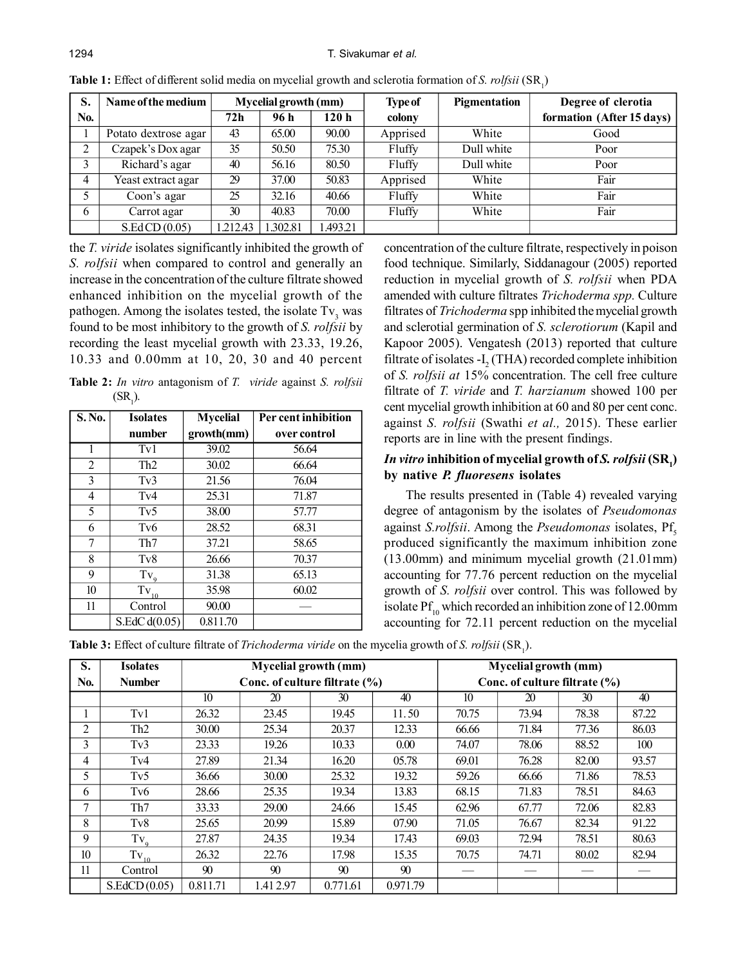| S.  | Name of the medium   | <b>Mycelial growth (mm)</b> |          | <b>Type of</b> | Pigmentation | Degree of clerotia |                           |
|-----|----------------------|-----------------------------|----------|----------------|--------------|--------------------|---------------------------|
| No. |                      | 72h                         | 96 h     | 120 h          | colony       |                    | formation (After 15 days) |
|     | Potato dextrose agar | 43                          | 65.00    | 90.00          | Apprised     | White              | Good                      |
| 2   | Czapek's Dox agar    | 35                          | 50.50    | 75.30          | Fluffy       | Dull white         | Poor                      |
| 3   | Richard's agar       | 40                          | 56.16    | 80.50          | Fluffy       | Dull white         | Poor                      |
| 4   | Yeast extract agar   | 29                          | 37.00    | 50.83          | Apprised     | White              | Fair                      |
| 5   | Coon's agar          | 25                          | 32.16    | 40.66          | Fluffy       | White              | Fair                      |
| 6   | Carrot agar          | 30                          | 40.83    | 70.00          | Fluffy       | White              | Fair                      |
|     | S.EdCD(0.05)         | 1.212.43                    | 1.302.81 | 1.493.21       |              |                    |                           |

**Table 1:** Effect of different solid media on mycelial growth and sclerotia formation of *S. rolfsii* (SR<sub>1</sub>)

the *T. viride* isolates significantly inhibited the growth of *S. rolfsii* when compared to control and generally an increase in the concentration of the culture filtrate showed enhanced inhibition on the mycelial growth of the pathogen. Among the isolates tested, the isolate  $Tv_3$  was found to be most inhibitory to the growth of *S. rolfsii* by recording the least mycelial growth with 23.33, 19.26, 10.33 and 0.00mm at 10, 20, 30 and 40 percent

**Table 2:** *In vitro* antagonism of *T. viride* against *S. rolfsii*  $(SR<sub>1</sub>)$ .

| S. No. | <b>Isolates</b>  | <b>Mycelial</b> | Per cent inhibition |  |  |
|--------|------------------|-----------------|---------------------|--|--|
|        | number           | growth(mm)      | over control        |  |  |
| 1      | Tv1              | 39.02           | 56.64               |  |  |
| 2      | Th <sub>2</sub>  | 30.02           |                     |  |  |
| 3      | Tv3              | 21.56           | 76.04               |  |  |
| 4      | Tv4              | 25.31           | 71.87               |  |  |
| 5      | Tv5              | 38.00           | 57.77               |  |  |
| 6      | T <sub>v</sub> 6 | 28.52           | 68.31               |  |  |
| 7      | Th7              | 37.21           | 58.65               |  |  |
| 8      | T <sub>v</sub> 8 | 26.66           | 70.37               |  |  |
| 9      | $Tv_{9}$         | 31.38           | 65.13               |  |  |
| 10     | $Tv_{10}$        | 35.98           | 60.02               |  |  |
| 11     | Control          | 90.00           |                     |  |  |
|        | S.EdC $d(0.05)$  | 0.811.70        |                     |  |  |

concentration of the culture filtrate, respectively in poison food technique. Similarly, Siddanagour (2005) reported reduction in mycelial growth of *S. rolfsii* when PDA amended with culture filtrates *Trichoderma spp.* Culture filtrates of *Trichoderma* spp inhibited the mycelial growth and sclerotial germination of *S. sclerotiorum* (Kapil and Kapoor 2005). Vengatesh (2013) reported that culture filtrate of isolates  $-I_2$  (THA) recorded complete inhibition of *S. rolfsii at* 15% concentration. The cell free culture filtrate of *T. viride* and *T. harzianum* showed 100 per cent mycelial growth inhibition at 60 and 80 per cent conc. against *S. rolfsii* (Swathi *et al.,* 2015). These earlier reports are in line with the present findings.

### $In$  *vitro* inhibition of mycelial growth of  $S$ .  $rolfsii$   $(\mathbf{SR}_\text{l})$ **by native** *P. fluoresens* **isolates**

The results presented in (Table 4) revealed varying degree of antagonism by the isolates of *Pseudomonas* against *S.rolfsii*. Among the *Pseudomonas* isolates, Pf<sub>c</sub> produced significantly the maximum inhibition zone (13.00mm) and minimum mycelial growth (21.01mm) accounting for 77.76 percent reduction on the mycelial growth of *S. rolfsii* over control. This was followed by isolate  $Pf_{10}$  which recorded an inhibition zone of 12.00mm accounting for 72.11 percent reduction on the mycelial

**Table 3:** Effect of culture filtrate of *Trichoderma viride* on the mycelia growth of *S. rolfsii* (SR<sub>1</sub>).

|     | $\mathbf{1}^{\prime}$ |                               |                      |          |          |                      |                               |       |       |  |
|-----|-----------------------|-------------------------------|----------------------|----------|----------|----------------------|-------------------------------|-------|-------|--|
| S.  | <b>Isolates</b>       |                               | Mycelial growth (mm) |          |          | Mycelial growth (mm) |                               |       |       |  |
| No. | <b>Number</b>         | Conc. of culture filtrate (%) |                      |          |          |                      | Conc. of culture filtrate (%) |       |       |  |
|     |                       | 10                            | 20                   | 30       | 40       | 10                   | 20                            | 30    | 40    |  |
|     | Tv1                   | 26.32                         | 23.45                | 19.45    | 11.50    | 70.75                | 73.94                         | 78.38 | 87.22 |  |
| 2   | Th <sub>2</sub>       | 30.00                         | 25.34                | 20.37    | 12.33    | 66.66                | 71.84                         | 77.36 | 86.03 |  |
| 3   | Tv3                   | 23.33                         | 19.26                | 10.33    | 0.00     | 74.07                | 78.06                         | 88.52 | 100   |  |
| 4   | Tv <sub>4</sub>       | 27.89                         | 21.34                | 16.20    | 05.78    | 69.01                | 76.28                         | 82.00 | 93.57 |  |
| 5   | Tv <sub>5</sub>       | 36.66                         | 30.00                | 25.32    | 19.32    | 59.26                | 66.66                         | 71.86 | 78.53 |  |
| 6   | Tv <sub>6</sub>       | 28.66                         | 25.35                | 19.34    | 13.83    | 68.15                | 71.83                         | 78.51 | 84.63 |  |
| 7   | Th7                   | 33.33                         | 29.00                | 24.66    | 15.45    | 62.96                | 67.77                         | 72.06 | 82.83 |  |
| 8   | Tv8                   | 25.65                         | 20.99                | 15.89    | 07.90    | 71.05                | 76.67                         | 82.34 | 91.22 |  |
| 9   | $Tv_{\alpha}$         | 27.87                         | 24.35                | 19.34    | 17.43    | 69.03                | 72.94                         | 78.51 | 80.63 |  |
| 10  | $Tv_{10}$             | 26.32                         | 22.76                | 17.98    | 15.35    | 70.75                | 74.71                         | 80.02 | 82.94 |  |
| 11  | Control               | 90                            | 90                   | 90       | 90       |                      |                               |       |       |  |
|     | S.EdCD(0.05)          | 0.811.71                      | 1.412.97             | 0.771.61 | 0.971.79 |                      |                               |       |       |  |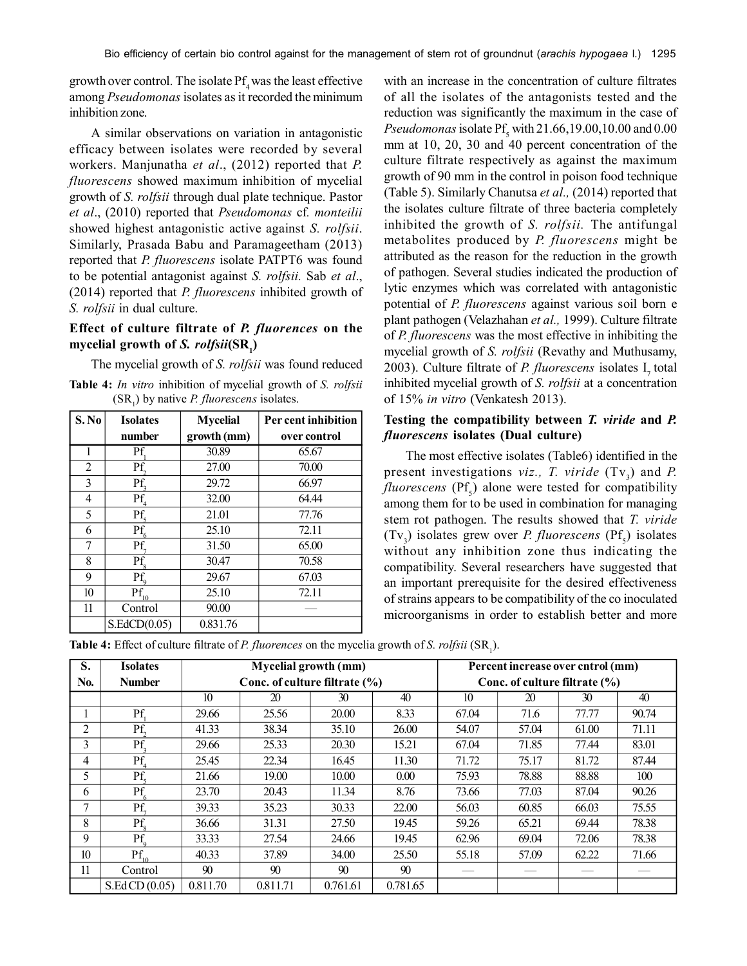growth over control. The isolate  $Pf<sub>4</sub>$  was the least effective among *Pseudomonas* isolates as it recorded the minimum inhibition zone.

A similar observations on variation in antagonistic efficacy between isolates were recorded by several workers. Manjunatha *et al*., (2012) reported that *P. fluorescens* showed maximum inhibition of mycelial growth of *S. rolfsii* through dual plate technique. Pastor *et al*., (2010) reported that *Pseudomonas* cf*. monteilii* showed highest antagonistic active against *S. rolfsii*. Similarly, Prasada Babu and Paramageetham (2013) reported that *P. fluorescens* isolate PATPT6 was found to be potential antagonist against *S. rolfsii.* Sab *et al*., (2014) reported that *P. fluorescens* inhibited growth of *S. rolfsii* in dual culture.

# **Effect of culture filtrate of** *P. fluorences* **on the mycelial growth of** *S. rolfsii***(SR<sup>1</sup> )**

The mycelial growth of *S. rolfsii* was found reduced

**Table 4:** *In vitro* inhibition of mycelial growth of *S. rolfsii*  $(SR_1)$  by native *P. fluorescens* isolates.

| S. No | <b>Isolates</b> | <b>Mycelial</b> | Per cent inhibition |  |  |
|-------|-----------------|-----------------|---------------------|--|--|
|       | number          | growth (mm)     | over control        |  |  |
| 1     | Pf              | 30.89           | 65.67               |  |  |
| 2     | Pf.             | 27.00           | 70.00               |  |  |
| 3     | Pf.             | 29.72           | 66.97               |  |  |
| 4     | Pf.             | 32.00           | 64.44               |  |  |
| 5     | Pf.             | 21.01           | 77.76               |  |  |
| 6     | Pf.             | 25.10           | 72.11               |  |  |
| 7     | Pf.             | 31.50           | 65.00               |  |  |
| 8     | Pf              | 30.47           | 70.58               |  |  |
| 9     | Pf.             | 29.67           | 67.03               |  |  |
| 10    | Pf              | 25.10           | 72.11               |  |  |
| 11    | Control         | 90.00           |                     |  |  |
|       | S.EdCD(0.05)    | 0.831.76        |                     |  |  |

with an increase in the concentration of culture filtrates of all the isolates of the antagonists tested and the reduction was significantly the maximum in the case of  $Pseudomonas$  isolate  $\text{Pf}_5$  with 21.66,19.00,10.00 and 0.00 mm at 10, 20, 30 and 40 percent concentration of the culture filtrate respectively as against the maximum growth of 90 mm in the control in poison food technique (Table 5). Similarly Chanutsa *et al.,* (2014) reported that the isolates culture filtrate of three bacteria completely inhibited the growth of *S. rolfsii.* The antifungal metabolites produced by *P. fluorescens* might be attributed as the reason for the reduction in the growth of pathogen. Several studies indicated the production of lytic enzymes which was correlated with antagonistic potential of *P. fluorescens* against various soil born e plant pathogen (Velazhahan *et al.,* 1999). Culture filtrate of *P. fluorescens* was the most effective in inhibiting the mycelial growth of *S. rolfsii* (Revathy and Muthusamy, 2003). Culture filtrate of *P. fluorescens* isolates I<sub>1</sub> total inhibited mycelial growth of *S. rolfsii* at a concentration of 15% *in vitro* (Venkatesh 2013).

### **Testing the compatibility between** *T. viride* **and** *P. fluorescens* **isolates (Dual culture)**

The most effective isolates (Table6) identified in the present investigations *viz.*, *T. viride*  $(Tv_3)$  and *P.*  $fluorescens$  ( $Pf<sub>s</sub>$ ) alone were tested for compatibility among them for to be used in combination for managing stem rot pathogen. The results showed that *T. viride*  $(Tv_3)$  isolates grew over *P. fluorescens*  $(Pf_5)$  isolates without any inhibition zone thus indicating the compatibility. Several researchers have suggested that an important prerequisite for the desired effectiveness of strains appears to be compatibility of the co inoculated microorganisms in order to establish better and more

**Table 4:** Effect of culture filtrate of *P. fluorences* on the mycelia growth of *S. rolfsii* (SR<sub>1</sub>).

| S.               | <b>Isolates</b> |                               | <b>Mycelial growth (mm)</b> |          |          | Percent increase over cntrol (mm) |       |       |       |
|------------------|-----------------|-------------------------------|-----------------------------|----------|----------|-----------------------------------|-------|-------|-------|
| No.              | <b>Number</b>   | Conc. of culture filtrate (%) |                             |          |          | Conc. of culture filtrate $(\% )$ |       |       |       |
|                  |                 | 10                            | 20                          | 30       | 40       | 10                                | 20    | 30    | 40    |
|                  | Pf.             | 29.66                         | 25.56                       | 20.00    | 8.33     | 67.04                             | 71.6  | 77.77 | 90.74 |
| $\overline{2}$   | Pf.             | 41.33                         | 38.34                       | 35.10    | 26.00    | 54.07                             | 57.04 | 61.00 | 71.11 |
| 3                | Pf.             | 29.66                         | 25.33                       | 20.30    | 15.21    | 67.04                             | 71.85 | 77.44 | 83.01 |
| 4                | Pf.             | 25.45                         | 22.34                       | 16.45    | 11.30    | 71.72                             | 75.17 | 81.72 | 87.44 |
| 5                | Pf.             | 21.66                         | 19.00                       | 10.00    | 0.00     | 75.93                             | 78.88 | 88.88 | 100   |
| 6                | Pf              | 23.70                         | 20.43                       | 11.34    | 8.76     | 73.66                             | 77.03 | 87.04 | 90.26 |
| 7                | Pf.             | 39.33                         | 35.23                       | 30.33    | 22.00    | 56.03                             | 60.85 | 66.03 | 75.55 |
| 8                | Pf              | 36.66                         | 31.31                       | 27.50    | 19.45    | 59.26                             | 65.21 | 69.44 | 78.38 |
| 9                | $Pf_{o}$        | 33.33                         | 27.54                       | 24.66    | 19.45    | 62.96                             | 69.04 | 72.06 | 78.38 |
| 10 <sup>10</sup> | $Pf_{1a}$       | 40.33                         | 37.89                       | 34.00    | 25.50    | 55.18                             | 57.09 | 62.22 | 71.66 |
| 11               | Control         | 90                            | 90                          | 90       | 90       |                                   |       |       |       |
|                  | S.EdCD(0.05)    | 0.811.70                      | 0.811.71                    | 0.761.61 | 0.781.65 |                                   |       |       |       |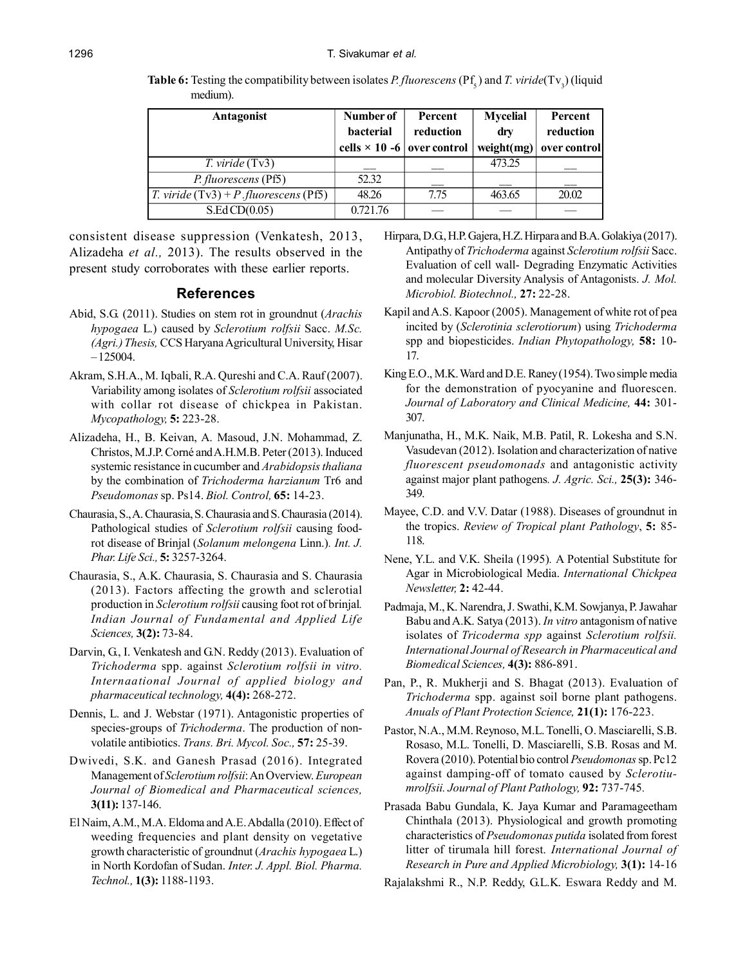**Antagonist Number of Percent Mycelial Percent bacterial reduction dry reduction cells**  $\times$  **10 -6 over control weight(mg) over control** *T. viride* (Tv3)  $\vert$  473.25 *P. fluorescens* (Pf5) 52.32 *T. viride* (Tv3) + *P .fluorescens* (Pf5) 48.26 7.75 463.65 20.02  $S.Ed CD(0.05)$  0.721.76 —

**Table 6:** Testing the compatibility between isolates *P. fluorescens* ( $Pf_s$ ) and *T. viride*( $Tv_3$ ) (liquid medium).

consistent disease suppression (Venkatesh, 2013, Alizadeha *et al.,* 2013). The results observed in the present study corroborates with these earlier reports.

#### **References**

- Abid, S.G. (2011). Studies on stem rot in groundnut (*Arachis hypogaea* L.) caused by *Sclerotium rolfsii* Sacc. *M.Sc. (Agri.) Thesis,* CCS Haryana Agricultural University, Hisar – 125004.
- Akram, S.H.A., M. Iqbali, R.A. Qureshi and C.A. Rauf (2007). Variability among isolates of *Sclerotium rolfsii* associated with collar rot disease of chickpea in Pakistan. *Mycopathology,* **5:** 223-28.
- Alizadeha, H., B. Keivan, A. Masoud, J.N. Mohammad, Z. Christos, M.J.P. Corné and A.H.M.B. Peter (2013). Induced systemic resistance in cucumber and *Arabidopsis thaliana* by the combination of *Trichoderma harzianum* Tr6 and *Pseudomonas* sp. Ps14. *Biol. Control,* **65:** 14-23.
- Chaurasia, S., A. Chaurasia, S. Chaurasia and S. Chaurasia (2014). Pathological studies of *Sclerotium rolfsii* causing foodrot disease of Brinjal (*Solanum melongena* Linn.)*. Int. J. Phar. Life Sci.,* **5:** 3257-3264.
- Chaurasia, S., A.K. Chaurasia, S. Chaurasia and S. Chaurasia (2013). Factors affecting the growth and sclerotial production in *Sclerotium rolfsii* causing foot rot of brinjal*. Indian Journal of Fundamental and Applied Life Sciences,* **3(2):** 73-84.
- Darvin, G., I. Venkatesh and G.N. Reddy (2013). Evaluation of *Trichoderma* spp. against *Sclerotium rolfsii in vitro. Internaational Journal of applied biology and pharmaceutical technology,* **4(4):** 268-272.
- Dennis, L. and J. Webstar (1971). Antagonistic properties of species-groups of *Trichoderma*. The production of nonvolatile antibiotics. *Trans. Bri. Mycol. Soc.,* **57:** 25-39.
- Dwivedi, S.K. and Ganesh Prasad (2016). Integrated Management of *Sclerotium rolfsii*: An Overview. *European Journal of Biomedical and Pharmaceutical sciences,* **3(11):** 137-146.
- El Naim, A.M., M.A. Eldoma and A.E. Abdalla (2010). Effect of weeding frequencies and plant density on vegetative growth characteristic of groundnut (*Arachis hypogaea* L.) in North Kordofan of Sudan. *Inter. J. Appl. Biol. Pharma. Technol.,* **1(3):** 1188-1193.
- Hirpara, D.G., H.P. Gajera, H.Z. Hirpara and B.A. Golakiya (2017). Antipathy of *Trichoderma* against *Sclerotium rolfsii* Sacc. Evaluation of cell wall- Degrading Enzymatic Activities and molecular Diversity Analysis of Antagonists. *J. Mol. Microbiol. Biotechnol.,* **27:** 22-28.
- Kapil and A.S. Kapoor (2005). Management of white rot of pea incited by (*Sclerotinia sclerotiorum*) using *Trichoderma* spp and biopesticides. *Indian Phytopathology,* **58:** 10- 17.
- King E.O., M.K. Ward and D.E. Raney (1954). Two simple media for the demonstration of pyocyanine and fluorescen. *Journal of Laboratory and Clinical Medicine,* **44:** 301- 307.
- Manjunatha, H., M.K. Naik, M.B. Patil, R. Lokesha and S.N. Vasudevan (2012). Isolation and characterization of native *fluorescent pseudomonads* and antagonistic activity against major plant pathogens*. J. Agric. Sci.,* **25(3):** 346- 349.
- Mayee, C.D. and V.V. Datar (1988). Diseases of groundnut in the tropics. *Review of Tropical plant Pathology*, **5:** 85- 118.
- Nene, Y.L. and V.K. Sheila (1995)*.* A Potential Substitute for Agar in Microbiological Media. *International Chickpea Newsletter,* **2:** 42-44.
- Padmaja, M., K. Narendra, J. Swathi, K.M. Sowjanya, P. Jawahar Babu and A.K. Satya (2013). *In vitro* antagonism of native isolates of *Tricoderma spp* against *Sclerotium rolfsii. International Journal of Research in Pharmaceutical and Biomedical Sciences,* **4(3):** 886-891.
- Pan, P., R. Mukherji and S. Bhagat (2013). Evaluation of *Trichoderma* spp. against soil borne plant pathogens. *Anuals of Plant Protection Science,* **21(1):** 176-223.
- Pastor, N.A., M.M. Reynoso, M.L. Tonelli, O. Masciarelli, S.B. Rosaso, M.L. Tonelli, D. Masciarelli, S.B. Rosas and M. Rovera (2010). Potential bio control *Pseudomonas* sp. Pc12 against damping-off of tomato caused by *Sclerotiumrolfsii. Journal of Plant Pathology,* **92:** 737-745*.*
- Prasada Babu Gundala, K. Jaya Kumar and Paramageetham Chinthala (2013). Physiological and growth promoting characteristics of *Pseudomonas putida* isolated from forest litter of tirumala hill forest. *International Journal of Research in Pure and Applied Microbiology,* **3(1):** 14-16

Rajalakshmi R., N.P. Reddy, G.L.K. Eswara Reddy and M.